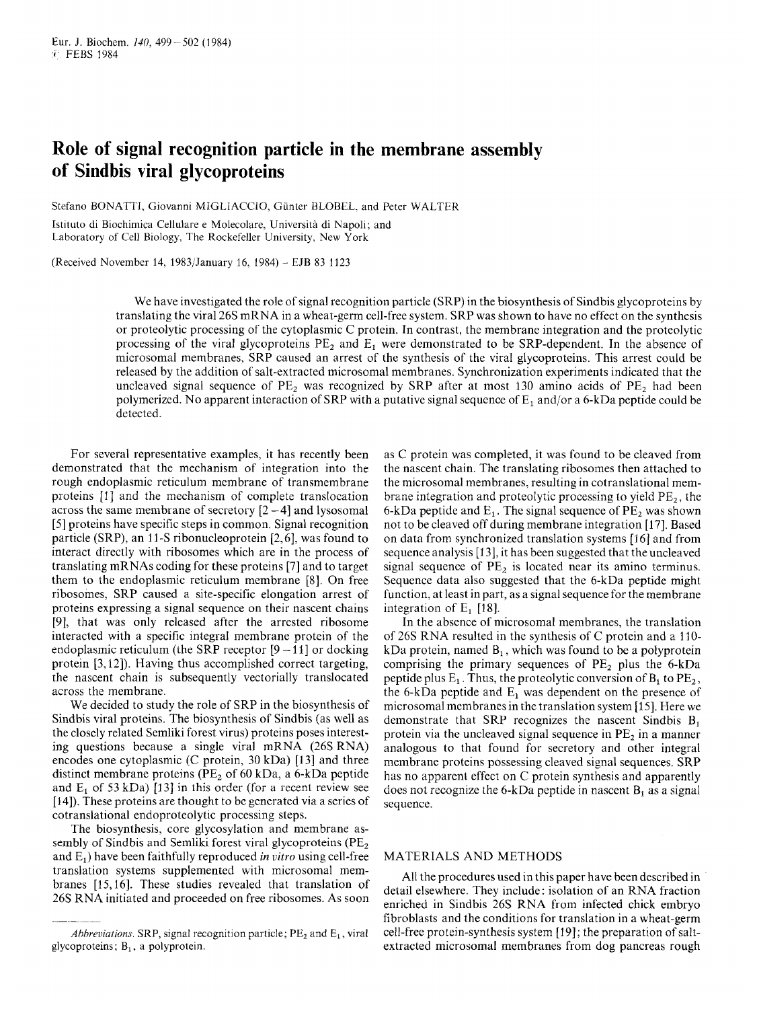## **Role of signal recognition particle in the membrane assembly of Sindbis viral glycoproteins**

Stefan0 BONATTI, Giovanni MIGLIACCIO, Giinter BLOBEL. and Peter WALTER

Istituto di Biochimica Cellulare e Molecolare, Università di Napoli; and Laboratory of Cell Biology, The Rockefeller University, New York

(Received November 14, 1983/January 16, 1984) - EJB 83 3 123

We have investigated the role of signal recognition particle (SRP) in the biosynthesis of Sindbis glycoproteins by translating the viral 26s mRNA in a wheat-germ cell-free system. SRP was shown to have no effect on the synthesis or proteolytic processing of the cytoplasmic C protein. In contrast, the membrane integration and the proteolytic processing of the viral glycoproteins  $PE<sub>2</sub>$  and  $E<sub>1</sub>$  were demonstrated to be SRP-dependent. In the absence of microsomal membranes, SRP caused an arrest of the synthesis of the viral glycoproteins. This arrest could be released by the addition of salt-extracted microsomal membranes. Synchronization experiments indicated that the uncleaved signal sequence of  $PE<sub>2</sub>$  was recognized by SRP after at most 130 amino acids of  $PE<sub>2</sub>$  had been polymerized. No apparent interaction of SRP with a putative signal sequence of  $E_1$  and/or a 6-kDa peptide could be detected.

For several representative examples, it has recently been demonstrated that the mechanism of integration into the rough endoplasmic reticulum membrane of transmembrane proteins [1] and the mechanism of complete translocation across the same membrane of secretory  $[2 - 4]$  and lysosomal [5] proteins have specific steps in common. Signal recognition particle (SRP), an 11-S ribonucleoprotein [2,6], was found to interact directly with ribosomes which are in the process of translating mRNAs coding for these proteins [7] and to target them to the endoplasmic reticulum membrane [8]. On free ribosomes, SRP caused a site-specific elongation arrest of proteins expressing a signal sequence on their nascent chains [9], that was only released after the arrested ribosome interacted with a specific integral membrane protein of the endoplasmic reticulum (the SRP receptor  $[9 - 11]$  or docking protein [3,12]). Having thus accomplished correct targeting, the nascent chain is subsequently vectorially translocated across the membrane.

We decided to study the role of SRP in the biosynthesis of Sindbis viral proteins. The biosynthesis of Sindbis (as well as the closely related Semliki forest virus) proteins poses interesting questions because a single viral mRNA (26s RNA) encodes one cytoplasmic  $(C$  protein,  $30$  kDa) [13] and three distinct membrane proteins ( $PE<sub>2</sub>$  of 60 kDa, a 6-kDa peptide and  $E_1$  of 53 kDa) [13] in this order (for a recent review see [14]). These proteins are thought to be generated via a series of cotranslational endoproteolytic processing steps.

The biosynthesis, core glycosylation and membrane assembly of Sindbis and Semliki forest viral glycoproteins (PE<sub>2</sub>) and E<sub>1</sub>) have been faithfully reproduced *in vitro* using cell-free translation systems supplemented with microsomal membranes [15,16]. These studies revealed that translation of 26s RNA initiated and proceeded on free ribosomes. As soon

as C protein was completed, it was found to be cleaved from the nascent chain. The translating ribosomes then attached to the microsomal membranes, resulting in cotranslational membrane integration and proteolytic processing to yield  $PE<sub>2</sub>$ , the 6-kDa peptide and  $E_1$ . The signal sequence of  $PE_2$  was shown not to be cleaved off during membrane integration [ 171. Based on data from synchronized translation systems [I61 and from sequence analysis [13], it has been suggested that the uncleaved signal sequence of  $PE<sub>2</sub>$  is located near its amino terminus. Sequence data also suggested that the 6-kDa peptide might function, at least in part, as a signal sequence for the membrane integration of  $E_1$  [18].

In the absence of microsomal membranes, the translation of 26s RNA resulted in the synthesis of C protein and a **130**  kDa protein, named  $B_1$ , which was found to be a polyprotein comprising the primary sequences of  $PE<sub>2</sub>$  plus the 6-kDa peptide plus  $E_1$ . Thus, the proteolytic conversion of  $B_1$  to  $PE_2$ , the 6-kDa peptide and  $E_1$  was dependent on the presence of microsomal membranes in the translation system [15]. Here we demonstrate that SRP recognizes the nascent Sindbis  $B_1$ protein via the uncleaved signal sequence in  $PE<sub>2</sub>$  in a manner analogous to that found for secretory and other integral membrane proteins possessing cleaved signal sequences. SRP has no apparent effect on C protein synthesis and apparently does not recognize the 6-kDa peptide in nascent  $B_1$  as a signal sequence.

## MATERIALS AND METHODS

All the procedures used in this paper have been described in detail elsewhere. They include: isolation of an RNA fraction enriched in Sindbis 26s RNA from infected chick embryo fibroblasts and the conditions for translation in a wheat-germ cell-free protein-synthesis system [19] ; the preparation of saltextracted microsomal membranes from dog pancreas rough

*Abhreviations.* SRP, signal recognition particle;  $PE<sub>2</sub>$  and  $E<sub>1</sub>$ , viral glycoproteins;  $B_1$ , a polyprotein.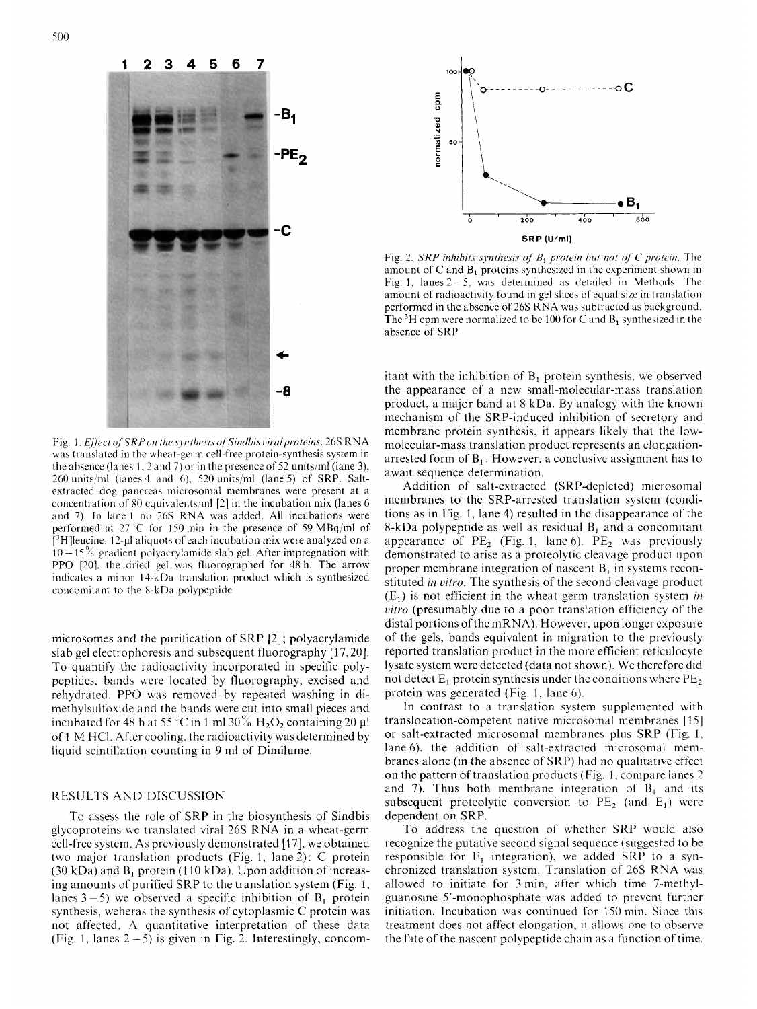

Fig. 1. *Effect of SRP on the synthesis of Sindhis viral proteins*. 26S RNA was translated in the wheat-germ cell-free protein-synthesis system in the absence (lanes 1. 3 and 7) or in the presence of *52* units/ml (lane 3), 260 units,'ml (lanes 4 and 6). 520 units/ml (lane *5)* of SRP. Saltextracted dog pancreas microsomal membranes were present at a concentration of 80 equivalents/ml  $[2]$  in the incubation mix (lanes 6 and 7). In lane 1 no 26S RNA was added. All incubations were performed at  $27^{\circ}$ C for 150 min in the presence of 59 MBq/ml of  $[3H]$ leucine. 12-µl aliquots of each incubation mix were analyzed on a  $10 - 15\%$  gradient polyacrylamide slab gel. After impregnation with PPO [20], the dried gel was fluorographed for 48 h. The arrow indicates a minor 14-kDa translation product which is synthesized concomitant to the 8-kDa polypeptide

microsomes and the purification of SRP [2] ; polyacrylamide slab gel electrophoresis and subsequent fluorography [17,20]. To quantify the radioactivity incorporated in specific polypeptides. bands were located by fluorography, excised and rehydratcd. PPO *was* removed by repeated washing in dimethylsulfoxide and the bands were cut into small pieces and incubated for 48 h at 55 °C in 1 ml 30%  $H_2O_2$  containing 20  $\mu$ l of 1 M HCI. After cooling. the radioactivity was determined by liquid scintillation counting in 9 ml of Dimilume.

## RESULTS AND DISCUSSION

To assess the role of SRP in the biosynthesis of Sindbis glycoproteins we translated viral 26s RNA in a wheat-germ cell-free system. As previously demonstrated [17], we obtained two major translation products (Fig. 1, lane 2): C protein  $(30 \text{ kDa})$  and  $B_1$  protein (110 kDa). Upon addition of increasing amounts of purified SRP to the translation system (Fig. 1, lanes  $3-5$ ) we observed a specific inhibition of  $B_1$  protein synthesis, weheras the synthesis of cytoplasmic C protein was not affected. **A** quantitative interpretation of these data (Fig. 1, lanes  $2 - 5$ ) is given in Fig. 2. Interestingly, concom-



Fig. 2. *SRP inhibits synthesis of B<sub>1</sub> protein but not of C protein.* The amount of C and  $B_1$  proteins synthesized in the experiment shown in Fig. 1, lanes  $2-5$ , was determined as detailed in Methods. The amount of radioactivity found in gel slices of equal size in translation performed in the absence of26S RNA was subtracted *as* background. The <sup>3</sup>H cpm were normalized to be 100 for C and  $B_1$  synthesized in the absence of SRP

itant with the inhibition of  $B_1$  protein synthesis, we observed the appearance of a new small-molecular-mass translation product, a major band at 8 kDa. By analogy with the known mechanism of the SRP-induced inhibition of secretory and membrane protein synthesis, it appears likely that the lowmolecular-mass translation product represents an elongationarrested form of  $B_1$ . However, a conclusive assignment has to await sequence determination.

Addition of salt-extracted (SRP-depleted) microsomal membranes to the SRP-arrested translation system (conditions as in Fig. 1, lane 4) resulted in the disappearance of the 8-kDa polypeptide as well as residual  $B_1$  and a concomitant appearance of  $PE<sub>2</sub>$  (Fig. 1, lane 6).  $PE<sub>2</sub>$  was previously demonstrated to arise as a proteolytic cleavage product upon proper membrane integration of nascent  $B_1$  in systems reconstituted *in vitro.* The synthesis of the second cleavage product  $(E_1)$  is not efficient in the wheat-germ translation system *in citro* (presumably due to a poor translation efficiency of the distal portions of the mRNA). However, upon longer exposure of the gels, bands equivalent in migration to the previously reported translation product in the more efficient reticulocyte lysate system were detected (data not shown). We therefore did not detect  $E_1$  protein synthesis under the conditions where  $PE_2$ protein was generated (Fig. 1, lane 6).

In contrast to a translation system supplemented with translocation-competent native microsomal membranes [15] or salt-extracted microsomal membranes plus SRP (Fig. 1. lane 6), the addition of salt-extracted microsomal membranes alone (in the absence of SRP) had no qualitative effect on the pattern of translation products (Fig. 1. compare lanes 2 and 7). Thus both membrane integration of  $B_1$  and its subsequent proteolytic conversion to  $PE<sub>2</sub>$  (and  $E<sub>1</sub>$ ) were dependent on SRP.

To address the question of whether SRP would also recognize the putative second signal sequence (suggested to be responsible for  $E_1$  integration), we added SRP to a synchronized translation system. Translation of 26s RNA was allowed to initiate for 3 min, after which time 7-methylguanosine 5'-monophosphate was added to prevent further initiation. Incubation was continued for 150 min. Since this treatment does not affect elongation, it allows one to observe the fate of the nascent polypeptide chain *as* a function of time.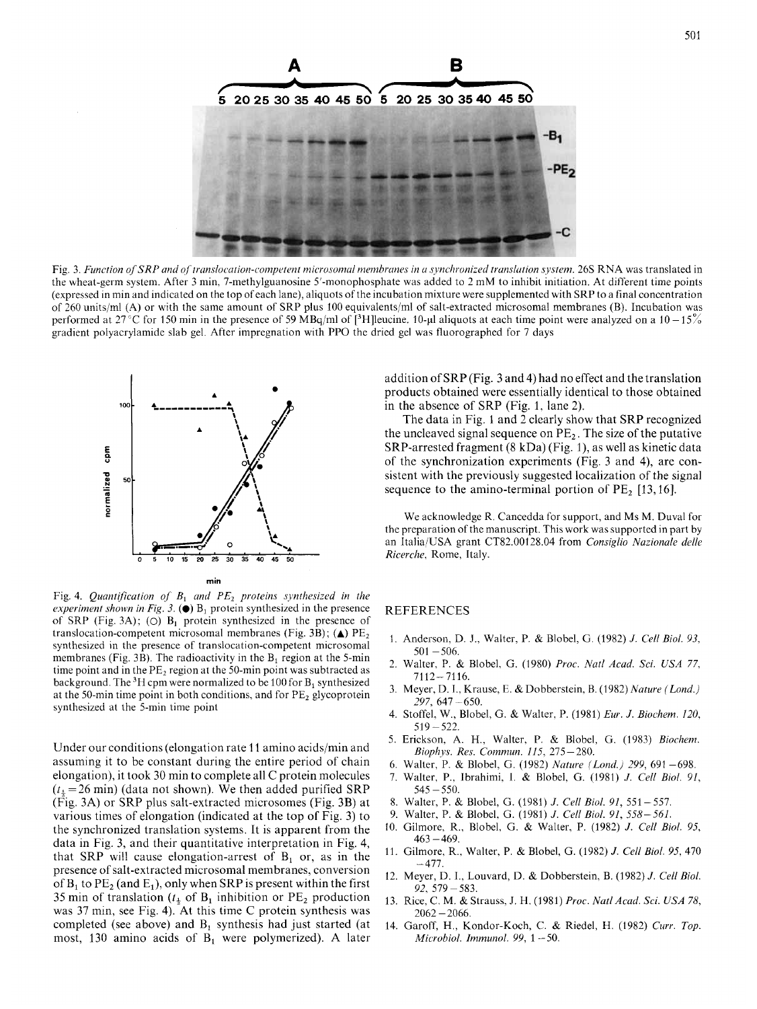

Fig. 3. Function of SRP and of translocation-competent microsomal membranes in a synchronized translation system. 26S RNA was translated in the wheat-germ system. After 3 min, 7-methylguanosine 5'-monophosphate was added to 2 mM to inhibit initiation. At different time points (expressed in min and indicated on the top of each lane), aliquots of the incubation mixture were supplemented with SRP to a final concentration of 260 unitslml **(A)** or with the same amount of SRP plus 100 equivalents/ml of salt-extracted microsomal membranes (B). Incubation was performed at 27<sup>°</sup>C for 150 min in the presence of 59 MBq/ml of [<sup>3</sup>H]leucine. 10-µl aliquots at each time point were analyzed on a 10 -15% gradient polyacrylamide slab gel. After impregnation with PPO the dried gel was fluorographed for 7 days



Fig. 4. *Quantification of*  $B_1$  *and*  $PE_2$  *proteins synthesized in the experiment shown in Fig. 3.*  $\left( \bullet \right)$   $B_1$  protein synthesized in the presence of SRP (Fig. 3A); (O)  $B_1$  protein synthesized in the presence of translocation-competent microsomal membranes (Fig. 3B);  $(\triangle)$  PE<sub>2</sub> synthesized in the presence of translocation-competent microsomal membranes (Fig. 3B). The radioactivity in the  $B_1$  region at the 5-min time point and in the  $PE<sub>2</sub>$  region at the 50-min point was subtracted as background. The  ${}^{3}H$  cpm were normalized to be 100 for  $B_1$  synthesized at the 50-min time point in both conditions, and for  $PE<sub>2</sub>$  glycoprotein synthesized at the 5-min time point

Under our conditions (elongation rate 11 amino acids/min and assuming it to be constant during the entire period of chain elongation), it took 30 min to complete all C protein molecules  $(t_{\frac{1}{2}}=26 \text{ min})$  (data not shown). We then added purified SRP (Fig. 3A) or SRP plus salt-extracted microsomes (Fig. 3B) at various times of elongation (indicated at the top of Fig. 3) to the synchronized translation systems. It is apparent from the data in Fig. 3, and their quantitative interpretation in Fig. 4, that SRP will cause elongation-arrest of  $B_1$  or, as in the presence of salt-extracted microsomal membranes, conversion of  $B_1$  to  $PE_2$  (and  $E_1$ ), only when SRP is present within the first 35 min of translation  $(t_1)$  of  $B_1$  inhibition or  $PE_2$  production was 37 min, see Fig. 4). At this time C protein synthesis was completed (see above) and  $B_1$  synthesis had just started (at most, 130 amino acids of  $B_1$  were polymerized). A later addition of SRP (Fig. 3 and 4) had no effect and the translation in the absence of SRP (Fig. 1, lane 2). products obtained were essentially identical to those obtained

The data in Fig. 1 and 2 clearly show that SRP recognized the uncleaved signal sequence on  $PE<sub>2</sub>$ . The size of the putative SRP-arrested fragment (8 kDa) (Fig. I), as well as kinetic data of the synchronization experiments (Fig. 3 and 4), are consistent with the previously suggested localization of the signal sequence to the amino-terminal portion of  $PE<sub>2</sub>$  [13,16].

We acknowledge R. Cancedda for support, and Ms M. Duval for the preparation of the manuscript. This work was supported in part by an Italia/USA grant CT82.00128.04 from *Consiglio Nuzionale delle* 

## REFERENCES

- I. Anderson, D. J., Walter, P. & Blobel, G. (1982) *J. Cell Biol. 93,*   $501 - 506$ .
- 2. Walter, P. & Blobel, G. (1980) *Proc. Natl Acad. Sci. USA 77,*   $7112 - 7116.$
- 3. Meyer, D. I., Krause, E. &Dobberstein, B. (1982) *Nature (Lond.) 297,* 647 -650.
- 4. Stoffel, W., Blobel, G. & Walter, P. (1981) *Eur. J. Biochem. 120*,  $519 - 522$ .
- 5. Erickson, A. H., Walter, P. & Blobel, G. (1983) *Biochem. Biophys. Res. Commurz. 115, <sup>215</sup>*- 280.
- 6. Walter, P. & Blobel, *G.* (1982) *Nature (Lond.) 299,* 691 -698.
- 7. Walter, P., Ibrahimi, **1.** & Blobel, G. (1981) *J. Cell Bid. 91,*   $545 - 550$ .
- 8. Walter, P. & Blobel, G. (1981) *J. Cell Biol. 91,* 551 -557.
- 9. Walter, P. & Blobel, G. (1981) *J. Cell Biol. 91, 558-561.*
- 10. Gilmore, R., Blobel, G. & Walter, P. (1982) *J. Cell Bid. 95,*   $463 - 469.$
- 11. Gilmore, R., Walter, P. & Blobel, G. (1982) *J. Cell Biol. 95,* 470  $-477.$
- 12. Meyer, D. I., Louvard, D. & Dobberstein, B. (1982) *J. Cell Bid. 92,* 579-583.
- 13. Rice, C. M. & Strauss, J. H. (1981) *Proc. Natl Acad. Sci. USA 78*, <br>2062 2066.
- 14. Garoff, H., Kondor-Koch, C. & Riedel, H. (1982) *Curr. Top. Microbiol. Immunol. Y9,* 1 *-50.*